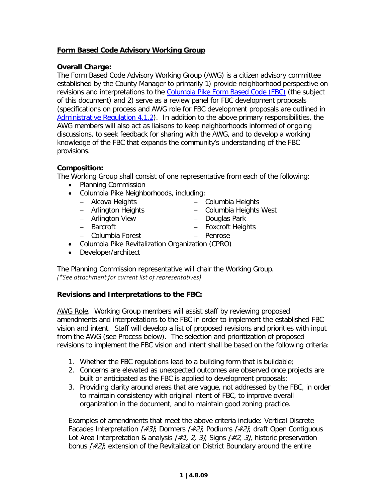## **Form Based Code Advisory Working Group**

## **Overall Charge:**

The Form Based Code Advisory Working Group (AWG) is a citizen advisory committee established by the County Manager to primarily 1) provide neighborhood perspective on revisions and interpretations to the [Columbia Pike Form Based Code \(FBC\)](http://www.columbiapikeva.us/revitalization-story/columbia-pike-initiative/columbia-pike-form-based-code/) (the subject of this document) and 2) serve as a review panel for FBC development proposals (specifications on process and AWG role for FBC development proposals are outlined in [Administrative Regulation 4.1.2\)](http://www.arlingtonva.us/departments/CPHD/forums/columbia/current/pdf/fbc_attachments_0205.pdf). In addition to the above primary responsibilities, the AWG members will also act as liaisons to keep neighborhoods informed of ongoing discussions, to seek feedback for sharing with the AWG, and to develop a working knowledge of the FBC that expands the community's understanding of the FBC provisions.

## **Composition:**

The Working Group shall consist of one representative from each of the following:

- Planning Commission
- Columbia Pike Neighborhoods, including:
	- − Alcova Heights
	- − Arlington Heights
	- − Arlington View
	- − Barcroft
	- − Columbia Forest
- Columbia Pike Revitalization Organization (CPRO)
- Developer/architect

The Planning Commission representative will chair the Working Group. *(\*See attachment for current list of representatives)*

## **Revisions and Interpretations to the FBC:**

AWG Role. Working Group members will assist staff by reviewing proposed amendments and interpretations to the FBC in order to implement the established FBC vision and intent. Staff will develop a list of proposed revisions and priorities with input from the AWG (see Process below). The selection and prioritization of proposed revisions to implement the FBC vision and intent shall be based on the following criteria:

- 1. Whether the FBC regulations lead to a building form that is buildable;
- 2. Concerns are elevated as unexpected outcomes are observed once projects are built or anticipated as the FBC is applied to development proposals;
- 3. Providing clarity around areas that are vague, not addressed by the FBC, in order to maintain consistency with original intent of FBC, to improve overall organization in the document, and to maintain good zoning practice.

Examples of amendments that meet the above criteria include: Vertical Discrete Facades Interpretation  $H=3$ ; Dormers  $H=2$ ; Podiums  $H=2$ ; draft Open Contiguous Lot Area Interpretation & analysis  $\frac{1}{2}$ , 2, 3l; Signs  $\frac{1}{2}$ , 3l, historic preservation bonus  $\frac{42}{i}$  extension of the Revitalization District Boundary around the entire

- − Columbia Heights
	- − Columbia Heights West
	- − Douglas Park
- − Foxcroft Heights
- − Penrose
- 
- 
- 
-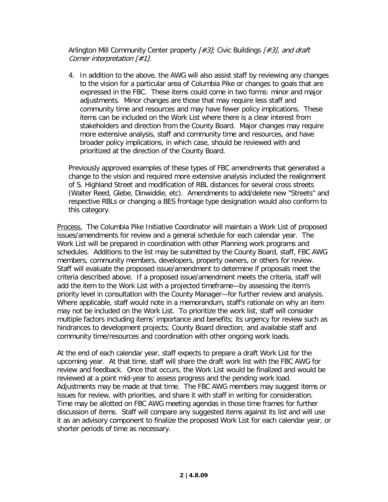Arlington Mill Community Center property [#3]; Civic Buildings [#3], and draft Corner interpretation [#1].

4. In addition to the above, the AWG will also assist staff by reviewing any changes to the vision for a particular area of Columbia Pike or changes to goals that are expressed in the FBC. These items could come in two forms: minor and major adjustments. Minor changes are those that may require less staff and community time and resources and may have fewer policy implications. These items can be included on the Work List where there is a clear interest from stakeholders and direction from the County Board. Major changes may require more extensive analysis, staff and community time and resources, and have broader policy implications, in which case, should be reviewed with and prioritized at the direction of the County Board.

Previously approved examples of these types of FBC amendments that generated a change to the vision and required more extensive analysis included the realignment of S. Highland Street and modification of RBL distances for several cross streets (Walter Reed, Glebe, Dinwiddie, etc). Amendments to add/delete new "Streets" and respective RBLs or changing a BES frontage type designation would also conform to this category.

Process.The Columbia Pike Initiative Coordinator will maintain a Work List of proposed issues/amendments for review and a general schedule for each calendar year. The Work List will be prepared in coordination with other Planning work programs and schedules. Additions to the list may be submitted by the County Board, staff, FBC AWG members, community members, developers, property owners, or others for review. Staff will evaluate the proposed issue/amendment to determine if proposals meet the criteria described above. If a proposed issue/amendment meets the criteria, staff will add the item to the Work List with a projected timeframe—by assessing the item's priority level in consultation with the County Manager—for further review and analysis. Where applicable, staff would note in a memorandum, staff's rationale on why an item may not be included on the Work List. To prioritize the work list, staff will consider multiple factors including items' importance and benefits; its urgency for review such as hindrances to development projects; County Board direction; and available staff and community time/resources and coordination with other ongoing work loads.

At the end of each calendar year, staff expects to prepare a draft Work List for the upcoming year. At that time, staff will share the draft work list with the FBC AWG for review and feedback. Once that occurs, the Work List would be finalized and would be reviewed at a point mid-year to assess progress and the pending work load. Adjustments may be made at that time. The FBC AWG members may suggest items or issues for review, with priorities, and share it with staff in writing for consideration. Time may be allotted on FBC AWG meeting agendas in those time frames for further discussion of items. Staff will compare any suggested items against its list and will use it as an advisory component to finalize the proposed Work List for each calendar year, or shorter periods of time as necessary.